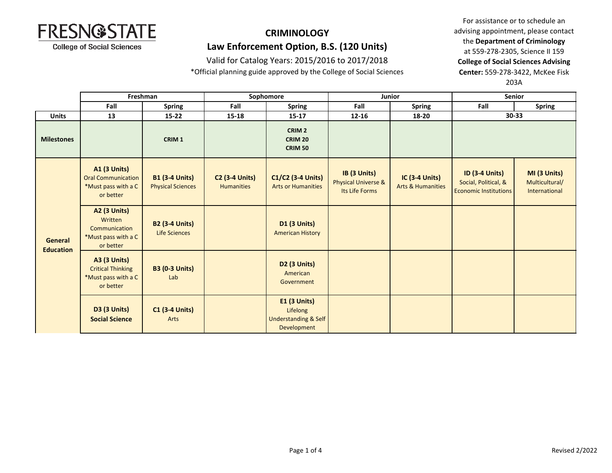

## **CRIMINOLOGY Law Enforcement Option, B.S. (120 Units)**

Valid for Catalog Years: 2015/2016 to 2017/2018

\*Official planning guide approved by the College of Social Sciences

For assistance or to schedule an advising appointment, please contact the **Department of Criminology** at 559-278-2305, Science II 159 **College of Social Sciences Advising Center:** 559-278-3422, McKee Fisk 203A

|                                    | Freshman                                                                             |                                                   | Sophomore                                  |                                                                                   | Junior                                                           |                                                       | Senior                                                                        |                                                 |
|------------------------------------|--------------------------------------------------------------------------------------|---------------------------------------------------|--------------------------------------------|-----------------------------------------------------------------------------------|------------------------------------------------------------------|-------------------------------------------------------|-------------------------------------------------------------------------------|-------------------------------------------------|
|                                    | Fall                                                                                 | <b>Spring</b>                                     | Fall                                       | <b>Spring</b>                                                                     | Fall                                                             | <b>Spring</b>                                         | Fall                                                                          | <b>Spring</b>                                   |
| <b>Units</b>                       | 13                                                                                   | $15 - 22$                                         | $15 - 18$                                  | $15 - 17$                                                                         | $12 - 16$                                                        | 18-20                                                 | 30-33                                                                         |                                                 |
| <b>Milestones</b>                  |                                                                                      | CRIM <sub>1</sub>                                 |                                            | CRIM <sub>2</sub><br><b>CRIM 20</b><br><b>CRIM 50</b>                             |                                                                  |                                                       |                                                                               |                                                 |
| <b>General</b><br><b>Education</b> | <b>A1 (3 Units)</b><br><b>Oral Communication</b><br>*Must pass with a C<br>or better | <b>B1 (3-4 Units)</b><br><b>Physical Sciences</b> | <b>C2 (3-4 Units)</b><br><b>Humanities</b> | C1/C2 (3-4 Units)<br><b>Arts or Humanities</b>                                    | IB (3 Units)<br><b>Physical Universe &amp;</b><br>Its Life Forms | <b>IC (3-4 Units)</b><br><b>Arts &amp; Humanities</b> | <b>ID (3-4 Units)</b><br>Social, Political, &<br><b>Economic Institutions</b> | MI (3 Units)<br>Multicultural/<br>International |
|                                    | <b>A2 (3 Units)</b><br>Written<br>Communication<br>*Must pass with a C<br>or better  | <b>B2 (3-4 Units)</b><br>Life Sciences            |                                            | <b>D1 (3 Units)</b><br><b>American History</b>                                    |                                                                  |                                                       |                                                                               |                                                 |
|                                    | <b>A3 (3 Units)</b><br><b>Critical Thinking</b><br>*Must pass with a C<br>or better  | <b>B3 (0-3 Units)</b><br>Lab                      |                                            | D <sub>2</sub> (3 Units)<br>American<br>Government                                |                                                                  |                                                       |                                                                               |                                                 |
|                                    | <b>D3 (3 Units)</b><br><b>Social Science</b>                                         | <b>C1 (3-4 Units)</b><br>Arts                     |                                            | <b>E1 (3 Units)</b><br>Lifelong<br><b>Understanding &amp; Self</b><br>Development |                                                                  |                                                       |                                                                               |                                                 |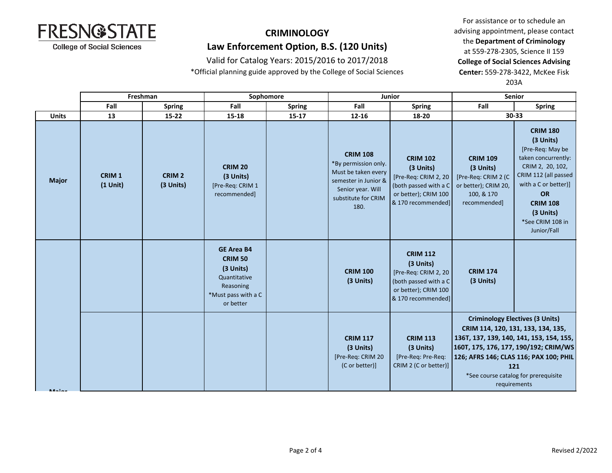

**Major**

#### **CRIMINOLOGY Law Enforcement Option, B.S. (120 Units)**

Valid for Catalog Years: 2015/2016 to 2017/2018

\*Official planning guide approved by the College of Social Sciences

For assistance or to schedule an advising appointment, please contact the **Department of Criminology** at 559-278-2305, Science II 159 **College of Social Sciences Advising Center:** 559-278-3422, McKee Fisk 203A

**Fall Spring Fall Spring Fall Spring Fall Spring Units 13 15-22 15-18 15-17 12-16 18-20 30-33 Freshman Sophomore Junior Senior Major CRIM 1 (1 Unit) CRIM 2 (3 Units) CRIM 20 (3 Units)** [Pre-Req: CRIM 1 recommended] **CRIM 108** \*By permission only. Must be taken every semester in Junior & Senior year. Will substitute for CRIM 180. **CRIM 102 (3 Units)** [Pre-Req: CRIM 2, 20 (both passed with a C or better); CRIM 100 & 170 recommended] **CRIM 109 (3 Units)** [Pre-Req: CRIM 2 (C or better); CRIM 20, 100, & 170 recommended] **CRIM 180 (3 Units)** [Pre-Req: May be taken concurrently: CRIM 2, 20, 102, CRIM 112 (all passed with a C or better)] **OR CRIM 108 (3 Units)** \*See CRIM 108 in Junior/Fall **GE Area B4 CRIM 50 (3 Units)** Quantitative Reasoning \*Must pass with a C or better **CRIM 100 (3 Units) CRIM 112 (3 Units)** [Pre-Req: CRIM 2, 20 (both passed with a C or better); CRIM 100 & 170 recommended] **CRIM 174 (3 Units) CRIM 117 (3 Units)** [Pre-Req: CRIM 20 (C or better)] **CRIM 113 (3 Units)** [Pre-Req: Pre-Req: CRIM 2 (C or better)] **Criminology Electives (3 Units) CRIM 114, 120, 131, 133, 134, 135, 136T, 137, 139, 140, 141, 153, 154, 155, 160T, 175, 176, 177, 190/192; CRIM/WS 126; AFRS 146; CLAS 116; PAX 100; PHIL 121**  \*See course catalog for prerequisite requirements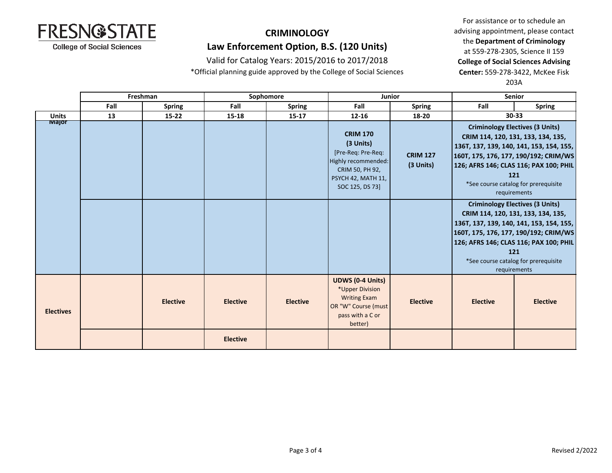

## **CRIMINOLOGY Law Enforcement Option, B.S. (120 Units)**

Valid for Catalog Years: 2015/2016 to 2017/2018

\*Official planning guide approved by the College of Social Sciences

For assistance or to schedule an advising appointment, please contact the **Department of Criminology** at 559-278-2305, Science II 159 **College of Social Sciences Advising Center:** 559-278-3422, McKee Fisk 203A

|                  | Freshman |                 | Sophomore       |                 | <b>Junior</b>                                                                                                                         |                              | <b>Senior</b>                                                                                                                                                                                                                                                              |                 |
|------------------|----------|-----------------|-----------------|-----------------|---------------------------------------------------------------------------------------------------------------------------------------|------------------------------|----------------------------------------------------------------------------------------------------------------------------------------------------------------------------------------------------------------------------------------------------------------------------|-----------------|
|                  | Fall     | <b>Spring</b>   | Fall            | <b>Spring</b>   | Fall                                                                                                                                  | <b>Spring</b>                | Fall                                                                                                                                                                                                                                                                       | <b>Spring</b>   |
| <b>Units</b>     | 13       | $15 - 22$       | $15 - 18$       | $15 - 17$       | $12 - 16$                                                                                                                             | 18-20                        | 30-33                                                                                                                                                                                                                                                                      |                 |
| <b>TVIajor</b>   |          |                 |                 |                 | <b>CRIM 170</b><br>(3 Units)<br>[Pre-Req: Pre-Req:<br>Highly recommended:<br>CRIM 50, PH 92,<br>PSYCH 42, MATH 11,<br>SOC 125, DS 73] | <b>CRIM 127</b><br>(3 Units) | <b>Criminology Electives (3 Units)</b><br>CRIM 114, 120, 131, 133, 134, 135,<br>136T, 137, 139, 140, 141, 153, 154, 155,<br>160T, 175, 176, 177, 190/192; CRIM/WS<br>126; AFRS 146; CLAS 116; PAX 100; PHIL<br>121<br>*See course catalog for prerequisite<br>requirements |                 |
|                  |          |                 |                 |                 |                                                                                                                                       |                              | <b>Criminology Electives (3 Units)</b><br>CRIM 114, 120, 131, 133, 134, 135,<br>136T, 137, 139, 140, 141, 153, 154, 155,<br>160T, 175, 176, 177, 190/192; CRIM/WS<br>126; AFRS 146; CLAS 116; PAX 100; PHIL<br>121<br>*See course catalog for prerequisite<br>requirements |                 |
| <b>Electives</b> |          | <b>Elective</b> | <b>Elective</b> | <b>Elective</b> | <b>UDWS (0-4 Units)</b><br>*Upper Division<br><b>Writing Exam</b><br>OR "W" Course (must<br>pass with a C or<br>better)               | <b>Elective</b>              | <b>Elective</b>                                                                                                                                                                                                                                                            | <b>Elective</b> |
|                  |          |                 | <b>Elective</b> |                 |                                                                                                                                       |                              |                                                                                                                                                                                                                                                                            |                 |